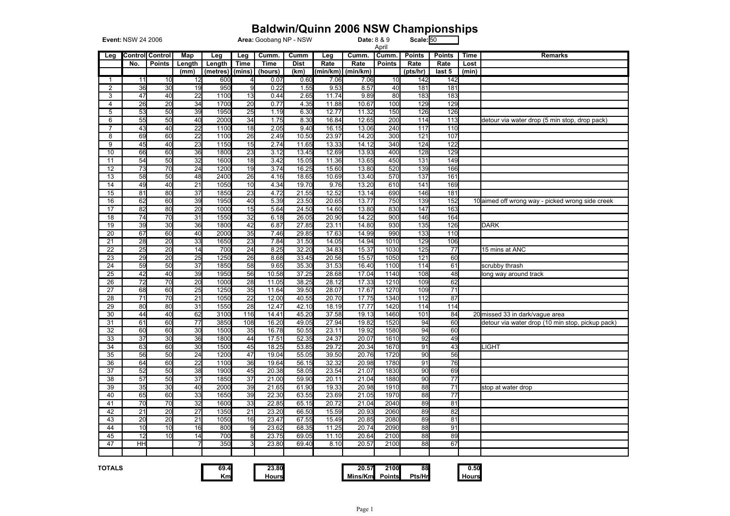| <b>Baldwin/Quinn 2006 NSW Championships</b>                                       |                       |                                    |                 |                  |                 |              |                |                |                |               |                  |                  |       |                                                  |
|-----------------------------------------------------------------------------------|-----------------------|------------------------------------|-----------------|------------------|-----------------|--------------|----------------|----------------|----------------|---------------|------------------|------------------|-------|--------------------------------------------------|
| Scale: 50<br>Area: Goobang NP - NSW<br>Date: 8 & 9<br>Event: NSW 24 2006<br>April |                       |                                    |                 |                  |                 |              |                |                |                |               |                  |                  |       |                                                  |
| Leg                                                                               |                       | <b>Control Control</b>             | <b>Map</b>      | Leg              | Leg             | Cumm.        | Cumm           | Leg            | Cumm.          | Cumm.         | <b>Points</b>    | <b>Points</b>    | Time  | <b>Remarks</b>                                   |
|                                                                                   | No.                   | <b>Points</b>                      | Length          | Length           | <b>Time</b>     | <b>Time</b>  | <b>Dist</b>    | Rate           | Rate           | <b>Points</b> | Rate             | Rate             | Lost  |                                                  |
|                                                                                   |                       |                                    | (mm)            | (metres)         | (mins)          | (hours)      | (km)           | (min/km)       | (min/km)       |               | (pts/hr)         | last 5           | (min) |                                                  |
| 1                                                                                 | 11                    | 10                                 | 12              | 600              | $\overline{4}$  | 0.07         | 0.60           | 7.06           | 7.06           | 10            | 142              | 142              |       |                                                  |
| $\overline{2}$                                                                    | 36                    | 30                                 | 19              | 950              | 9               | 0.22         | 1.55           | 9.53           | 8.57           | 40            | 181              | 181              |       |                                                  |
| $\overline{3}$                                                                    | 47                    | 40                                 | $\overline{22}$ | 1100             | $\overline{13}$ | 0.44         | 2.65           | 11.74          | 9.89           | 80            | 183              | 183              |       |                                                  |
| $\overline{4}$                                                                    | 26                    | $\overline{20}$                    | 34              | 1700             | 20              | 0.77         | 4.35           | 11.88          | 10.67          | 100           | 129              | 129              |       |                                                  |
| $\overline{5}$                                                                    | 53                    | $\overline{50}$                    | 39              | 1950             | 25              | 1.19         | 6.30           | 12.77          | 11.32          | 150           | 126              | 126              |       |                                                  |
| 6                                                                                 | 55                    | $\overline{50}$                    | 40              | 2000             | 34              | 1.75         | 8.30           | 16.84          | 12.65          | 200           | 114              | 113              |       | detour via water drop (5 min stop, drop pack)    |
| $\overline{7}$                                                                    | 43                    | 40                                 | 22              | 1100             | 18              | 2.05         | 9.40           | 16.15          | 13.06          | 240           | 117              | 110              |       |                                                  |
| 8                                                                                 | 69                    | 60                                 | 22              | 1100             | 26              | 2.49         | 10.50          | 23.97          | 14.20          | 300           | 121              | 107              |       |                                                  |
| $\overline{9}$                                                                    | 45                    | 40                                 | 23              | 1150             | 15              | 2.74         | 11.65          | 13.33          | 14.12          | 340           | 124              | $\overline{122}$ |       |                                                  |
| 10                                                                                | 66                    | 60                                 | 36              | 1800             | 23              | 3.12         | 13.45          | 12.69          | 13.93          | 400           | $\overline{128}$ | 129              |       |                                                  |
| $\overline{11}$                                                                   | $\overline{54}$       | 50                                 | $\overline{32}$ | 1600             | $\overline{18}$ | 3.42         | 15.05          | 11.36          | 13.65          | 450           | 131              | 149              |       |                                                  |
| $\overline{12}$                                                                   | 73                    | $\overline{70}$                    | 24              | 1200             | 19              | 3.74         | 16.25          | 15.60          | 13.80          | 520           | 139              | 166              |       |                                                  |
| 13                                                                                | $\overline{58}$       | $\overline{50}$                    | 48              | 2400             | $\overline{26}$ | 4.16         | 18.65          | 10.69          | 13.40          | 570           | 137              | 161              |       |                                                  |
| 14                                                                                | 49                    | 40                                 | 21              | 1050             | 10              | 4.34         | 19.70          | 9.76           | 13.20          | 610           | 141              | 169              |       |                                                  |
| $\overline{15}$                                                                   | $\overline{81}$       | 80                                 | 37              | 1850             | $\overline{23}$ | 4.72         | 21.55          | 12.52          | 13.14          | 690           | 146              | 181              |       |                                                  |
| 16                                                                                | 62                    | 60                                 | 39              | 1950             | 40              | 5.39         | 23.50          | 20.65          | 13.77          | 750           | 139              | 152              |       | 10 aimed off wrong way - picked wrong side creek |
| 17                                                                                | 82                    | 80                                 | $\overline{20}$ | 1000             | 15              | 5.64         | 24.50          | 14.60          | 13.80          | 830           | 147              | 163              |       |                                                  |
| 18                                                                                | 74                    | 70                                 | 31              | 1550             | 32              | 6.18         | 26.05          | 20.90          | 14.22          | 900           | 146              | 164              |       |                                                  |
| 19                                                                                | 39<br>$\overline{67}$ | 30<br>60                           | 36              | 1800<br>2000     | 42              | 6.87         | 27.85          | 23.11          | 14.80<br>14.99 | 930<br>990    | 135<br>133       | 126              |       | <b>DARK</b>                                      |
| $\overline{20}$                                                                   |                       |                                    | 40              |                  | 35              | 7.46<br>7.84 | 29.85          | 17.63          | 14.94          | 1010          | 129              | 110<br>106       |       |                                                  |
| $\overline{21}$<br>22                                                             | 28<br>$\overline{25}$ | $\overline{20}$<br>$\overline{20}$ | 33<br>14        | 1650<br>700      | 23<br>24        | 8.25         | 31.50<br>32.20 | 14.05<br>34.83 | 15.37          | 1030          | 125              | $\overline{77}$  |       | 15 mins at ANC                                   |
| 23                                                                                | 29                    | $\overline{20}$                    | $\overline{25}$ | 1250             | 26              | 8.68         | 33.45          | 20.56          | 15.57          | 1050          | $\overline{121}$ | 60               |       |                                                  |
| 24                                                                                | 59                    | 50                                 | 37              | 1850             | 58              | 9.65         | 35.30          | 31.53          | 16.40          | 1100          | 114              | 61               |       | scrubby thrash                                   |
| $\overline{25}$                                                                   | 42                    | 40                                 | 39              | 195 <sub>C</sub> | $\overline{56}$ | 10.58        | 37.25          | 28.68          | 17.04          | 1140          | 108              | 48               |       | long way around track                            |
| 26                                                                                | $\overline{72}$       | 70                                 | 20              | 1000             | 28              | 11.05        | 38.25          | 28.12          | 17.33          | 1210          | 109              | 62               |       |                                                  |
| $\overline{27}$                                                                   | 68                    | 60                                 | 25              | 1250             | 35              | 11.64        | 39.50          | 28.07          | 17.67          | 1270          | 109              | $\overline{71}$  |       |                                                  |
| 28                                                                                | $\overline{71}$       | 70                                 | 21              | 1050             | 22              | 12.00        | 40.55          | 20.70          | 17.75          | 1340          | 112              | 87               |       |                                                  |
| 29                                                                                | 80                    | 80                                 | 31              | 1550             | 28              | 12.47        | 42.10          | 18.19          | 17.77          | 1420          | 114              | 114              |       |                                                  |
| 30                                                                                | 44                    | 40                                 | 62              | 3100             | 116             | 14.41        | 45.20          | 37.58          | 19.13          | 1460          | 101              | 84               |       | 20 missed 33 in dark/vague area                  |
| 31                                                                                | 61                    | 60                                 | $\overline{77}$ | 3850             | 108             | 16.20        | 49.05          | 27.94          | 19.82          | 1520          | 94               | 60               |       | detour via water drop (10 min stop, pickup pack) |
| $\overline{32}$                                                                   | 60                    | 60                                 | 30              | 1500             | 35              | 16.78        | 50.55          | 23.11          | 19.92          | 1580          | 94               | 60               |       |                                                  |
| $\overline{33}$                                                                   | $\overline{37}$       | 30                                 | 36              | 1800             | 44              | 17.51        | 52.35          | 24.37          | 20.07          | 1610          | $\overline{92}$  | 49               |       |                                                  |
| 34                                                                                | 63                    | 60                                 | 30              | 1500             | 45              | 18.25        | 53.85          | 29.72          | 20.34          | 1670          | 91               | 43               |       | LIGHT                                            |
| $\overline{35}$                                                                   | 56                    | 50                                 | $\overline{24}$ | 1200             | 47              | 19.04        | 55.05          | 39.50          | 20.76          | 1720          | 90               | 56               |       |                                                  |
| 36                                                                                | 64                    | 60                                 | 22              | 1100             | 36              | 19.64        | 56.15          | 32.32          | 20.98          | 1780          | 91               | 76               |       |                                                  |
| $\overline{37}$                                                                   | 52                    | 50                                 | 38              | 1900             | 45              | 20.38        | 58.05          | 23.54          | 21.07          | 1830          | 90               | 69               |       |                                                  |
| 38                                                                                | 57                    | 50                                 | $\overline{37}$ | 1850             | $\overline{37}$ | 21.00        | 59.90          | 20.1'          | 21.04          | 1880          | 90               | $\overline{77}$  |       |                                                  |
| 39                                                                                | 35                    | 30                                 | 40              | 2000             | 39              | 21.65        | 61.90          | 19.33          | 20.98          | 1910          | 88               | $\overline{71}$  |       | stop at water drop                               |
| 40                                                                                | 65                    | 60                                 | 33              | 1650             | 39              | 22.30        | 63.55          | 23.69          | 21.05          | 1970          | 88               | $\overline{77}$  |       |                                                  |
| 41                                                                                | 70                    | 70                                 | 32              | 1600             | 33              | 22.85        | 65.15          | 20.72          | 21.04          | 2040          | 89               | 81               |       |                                                  |
| $\overline{42}$                                                                   | $\overline{21}$       | $\overline{20}$                    | 27              | 1350             | 21              | 23.20        | 66.50          | 15.59          | 20.93          | 2060          | 89               | 82               |       |                                                  |
| 43                                                                                | 20                    | $\overline{20}$                    | $\overline{21}$ | 1050             | 16              | 23.47        | 67.55          | 15.49          | 20.85          | 2080          | 89               | 81               |       |                                                  |
| 44                                                                                | 10                    | 10                                 | 16              | 800              | 9               | 23.62        | 68.35          | 11.25          | 20.74          | 2090          | 88               | 91               |       |                                                  |
| 45                                                                                | 12                    | 10                                 | 14              | 700              | 81              | 23.75        | 69.05          | 11.10          | 20.64          | 2100          | 88               | 89               |       |                                                  |
| 47                                                                                | $H$ H                 |                                    |                 | 350              |                 | 23.80        | 69.40          | 8.10           | 20.57          | 2100          | 88               | 67               |       |                                                  |
|                                                                                   |                       |                                    |                 |                  |                 |              |                |                |                |               |                  |                  |       |                                                  |
|                                                                                   |                       |                                    |                 |                  |                 |              |                |                |                |               |                  |                  |       |                                                  |

**TOTALS 69.4 23.80 20.57 2100 88 0.50**

**Km Hours Mins/Km Points Pts/Hr Hours**